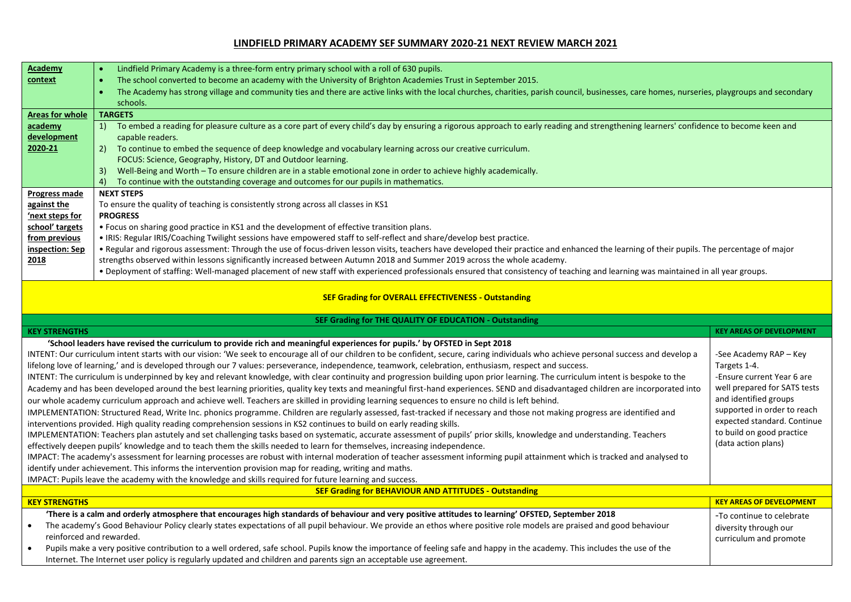## **LINDFIELD PRIMARY ACADEMY SEF SUMMARY 2020-21 NEXT REVIEW MARCH 2021**

| Academy                                                                                                                                                                                                            | Lindfield Primary Academy is a three-form entry primary school with a roll of 630 pupils.                                                                                                                                                                                                        |                                 |  |  |
|--------------------------------------------------------------------------------------------------------------------------------------------------------------------------------------------------------------------|--------------------------------------------------------------------------------------------------------------------------------------------------------------------------------------------------------------------------------------------------------------------------------------------------|---------------------------------|--|--|
| context                                                                                                                                                                                                            | The school converted to become an academy with the University of Brighton Academies Trust in September 2015.                                                                                                                                                                                     |                                 |  |  |
|                                                                                                                                                                                                                    | The Academy has strong village and community ties and there are active links with the local churches, charities, parish council, businesses, care homes, nurseries, playgroups and secondary<br>$\bullet$                                                                                        |                                 |  |  |
|                                                                                                                                                                                                                    | schools.                                                                                                                                                                                                                                                                                         |                                 |  |  |
| <b>Areas for whole</b>                                                                                                                                                                                             | <b>TARGETS</b>                                                                                                                                                                                                                                                                                   |                                 |  |  |
| academy                                                                                                                                                                                                            | To embed a reading for pleasure culture as a core part of every child's day by ensuring a rigorous approach to early reading and strengthening learners' confidence to become keen and<br>1)                                                                                                     |                                 |  |  |
| development                                                                                                                                                                                                        | capable readers.                                                                                                                                                                                                                                                                                 |                                 |  |  |
| 2020-21                                                                                                                                                                                                            | 2)<br>To continue to embed the sequence of deep knowledge and vocabulary learning across our creative curriculum.                                                                                                                                                                                |                                 |  |  |
|                                                                                                                                                                                                                    | FOCUS: Science, Geography, History, DT and Outdoor learning.                                                                                                                                                                                                                                     |                                 |  |  |
|                                                                                                                                                                                                                    | Well-Being and Worth - To ensure children are in a stable emotional zone in order to achieve highly academically.<br>3)                                                                                                                                                                          |                                 |  |  |
|                                                                                                                                                                                                                    | To continue with the outstanding coverage and outcomes for our pupils in mathematics.<br>4)                                                                                                                                                                                                      |                                 |  |  |
| <b>Progress made</b>                                                                                                                                                                                               | <b>NEXT STEPS</b>                                                                                                                                                                                                                                                                                |                                 |  |  |
| against the                                                                                                                                                                                                        | To ensure the quality of teaching is consistently strong across all classes in KS1                                                                                                                                                                                                               |                                 |  |  |
| 'next steps for                                                                                                                                                                                                    | <b>PROGRESS</b>                                                                                                                                                                                                                                                                                  |                                 |  |  |
| school' targets                                                                                                                                                                                                    | . Focus on sharing good practice in KS1 and the development of effective transition plans.                                                                                                                                                                                                       |                                 |  |  |
| from previous                                                                                                                                                                                                      | . IRIS: Regular IRIS/Coaching Twilight sessions have empowered staff to self-reflect and share/develop best practice.                                                                                                                                                                            |                                 |  |  |
| inspection: Sep                                                                                                                                                                                                    | . Regular and rigorous assessment: Through the use of focus-driven lesson visits, teachers have developed their practice and enhanced the learning of their pupils. The percentage of major                                                                                                      |                                 |  |  |
| 2018                                                                                                                                                                                                               | strengths observed within lessons significantly increased between Autumn 2018 and Summer 2019 across the whole academy.                                                                                                                                                                          |                                 |  |  |
|                                                                                                                                                                                                                    | . Deployment of staffing: Well-managed placement of new staff with experienced professionals ensured that consistency of teaching and learning was maintained in all year groups.                                                                                                                |                                 |  |  |
| <b>SEF Grading for OVERALL EFFECTIVENESS - Outstanding</b>                                                                                                                                                         |                                                                                                                                                                                                                                                                                                  |                                 |  |  |
| SEF Grading for THE QUALITY OF EDUCATION - Outstanding                                                                                                                                                             |                                                                                                                                                                                                                                                                                                  |                                 |  |  |
| <b>KEY STRENGTHS</b>                                                                                                                                                                                               |                                                                                                                                                                                                                                                                                                  | <b>KEY AREAS OF DEVELOPMENT</b> |  |  |
| 'School leaders have revised the curriculum to provide rich and meaningful experiences for pupils.' by OFSTED in Sept 2018                                                                                         |                                                                                                                                                                                                                                                                                                  |                                 |  |  |
|                                                                                                                                                                                                                    | INTENT: Our curriculum intent starts with our vision: 'We seek to encourage all of our children to be confident, secure, caring individuals who achieve personal success and develop a<br>-See Academy RAP - Key                                                                                 |                                 |  |  |
|                                                                                                                                                                                                                    | lifelong love of learning,' and is developed through our 7 values: perseverance, independence, teamwork, celebration, enthusiasm, respect and success.                                                                                                                                           | Targets 1-4.                    |  |  |
|                                                                                                                                                                                                                    | INTENT: The curriculum is underpinned by key and relevant knowledge, with clear continuity and progression building upon prior learning. The curriculum intent is bespoke to the<br>-Ensure current Year 6 are                                                                                   |                                 |  |  |
| well prepared for SATS tests<br>Academy and has been developed around the best learning priorities, quality key texts and meaningful first-hand experiences. SEND and disadvantaged children are incorporated into |                                                                                                                                                                                                                                                                                                  |                                 |  |  |
| and identified groups<br>our whole academy curriculum approach and achieve well. Teachers are skilled in providing learning sequences to ensure no child is left behind.                                           |                                                                                                                                                                                                                                                                                                  |                                 |  |  |
| supported in order to reach<br>IMPLEMENTATION: Structured Read, Write Inc. phonics programme. Children are regularly assessed, fast-tracked if necessary and those not making progress are identified and          |                                                                                                                                                                                                                                                                                                  |                                 |  |  |
| expected standard. Continue<br>interventions provided. High quality reading comprehension sessions in KS2 continues to build on early reading skills.                                                              |                                                                                                                                                                                                                                                                                                  |                                 |  |  |
| to build on good practice<br>IMPLEMENTATION: Teachers plan astutely and set challenging tasks based on systematic, accurate assessment of pupils' prior skills, knowledge and understanding. Teachers              |                                                                                                                                                                                                                                                                                                  |                                 |  |  |
| (data action plans)<br>effectively deepen pupils' knowledge and to teach them the skills needed to learn for themselves, increasing independence.                                                                  |                                                                                                                                                                                                                                                                                                  |                                 |  |  |
| IMPACT: The academy's assessment for learning processes are robust with internal moderation of teacher assessment informing pupil attainment which is tracked and analysed to                                      |                                                                                                                                                                                                                                                                                                  |                                 |  |  |
|                                                                                                                                                                                                                    |                                                                                                                                                                                                                                                                                                  |                                 |  |  |
|                                                                                                                                                                                                                    | identify under achievement. This informs the intervention provision map for reading, writing and maths.                                                                                                                                                                                          |                                 |  |  |
|                                                                                                                                                                                                                    | IMPACT: Pupils leave the academy with the knowledge and skills required for future learning and success.                                                                                                                                                                                         |                                 |  |  |
|                                                                                                                                                                                                                    | <b>SEF Grading for BEHAVIOUR AND ATTITUDES - Outstanding</b>                                                                                                                                                                                                                                     |                                 |  |  |
| <b>KEY STRENGTHS</b>                                                                                                                                                                                               |                                                                                                                                                                                                                                                                                                  | <b>KEY AREAS OF DEVELOPMENT</b> |  |  |
|                                                                                                                                                                                                                    | 'There is a calm and orderly atmosphere that encourages high standards of behaviour and very positive attitudes to learning' OFSTED, September 2018                                                                                                                                              | -To continue to celebrate       |  |  |
| $\bullet$                                                                                                                                                                                                          | The academy's Good Behaviour Policy clearly states expectations of all pupil behaviour. We provide an ethos where positive role models are praised and good behaviour                                                                                                                            | diversity through our           |  |  |
| reinforced and rewarded.                                                                                                                                                                                           |                                                                                                                                                                                                                                                                                                  | curriculum and promote          |  |  |
|                                                                                                                                                                                                                    | Pupils make a very positive contribution to a well ordered, safe school. Pupils know the importance of feeling safe and happy in the academy. This includes the use of the<br>Internet. The Internet user policy is regularly updated and children and parents sign an acceptable use agreement. |                                 |  |  |